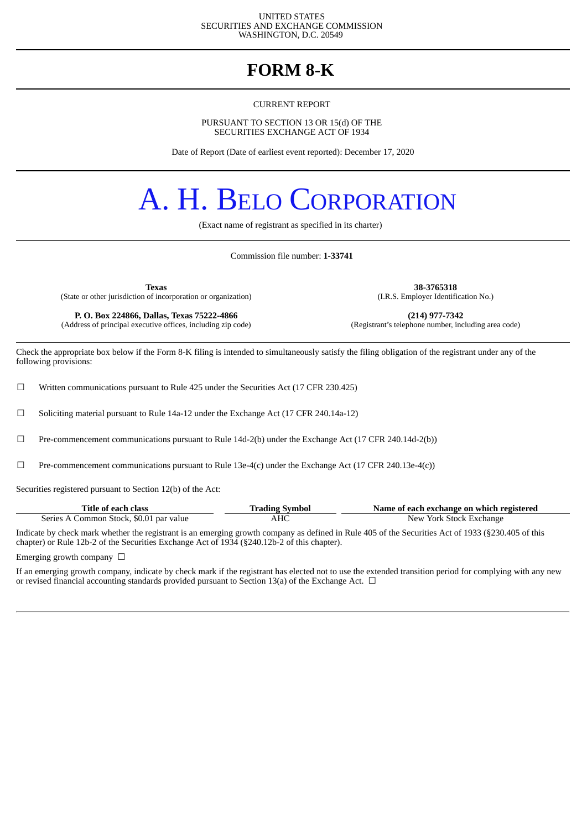#### UNITED STATES SECURITIES AND EXCHANGE COMMISSION WASHINGTON, D.C. 20549

# **FORM 8-K**

CURRENT REPORT

PURSUANT TO SECTION 13 OR 15(d) OF THE SECURITIES EXCHANGE ACT OF 1934

Date of Report (Date of earliest event reported): December 17, 2020

# A. H. BELO CORPORATION

(Exact name of registrant as specified in its charter)

Commission file number: **1-33741**

(State or other jurisdiction of incorporation or organization)

**P. O. Box 224866, Dallas, Texas 75222-4866 (214) 977-7342** (Address of principal executive offices, including zip code)

**Texas 38-3765318**

Check the appropriate box below if the Form 8-K filing is intended to simultaneously satisfy the filing obligation of the registrant under any of the following provisions:

 $\Box$  Written communications pursuant to Rule 425 under the Securities Act (17 CFR 230.425)

 $\Box$  Soliciting material pursuant to Rule 14a-12 under the Exchange Act (17 CFR 240.14a-12)

☐ Pre-commencement communications pursuant to Rule 14d-2(b) under the Exchange Act (17 CFR 240.14d-2(b))

 $□$  Pre-commencement communications pursuant to Rule 13e-4(c) under the Exchange Act (17 CFR 240.13e-4(c))

Securities registered pursuant to Section 12(b) of the Act:

| Title of each class                     | <b>Trading Symbol</b> | Name of each exchange on which registered |
|-----------------------------------------|-----------------------|-------------------------------------------|
| Series A Common Stock, \$0.01 par value | АНС                   | New York Stock Exchange                   |

Indicate by check mark whether the registrant is an emerging growth company as defined in Rule 405 of the Securities Act of 1933 (§230.405 of this chapter) or Rule 12b-2 of the Securities Exchange Act of 1934 (§240.12b-2 of this chapter).

Emerging growth company  $\Box$ 

If an emerging growth company, indicate by check mark if the registrant has elected not to use the extended transition period for complying with any new or revised financial accounting standards provided pursuant to Section 13(a) of the Exchange Act.  $\Box$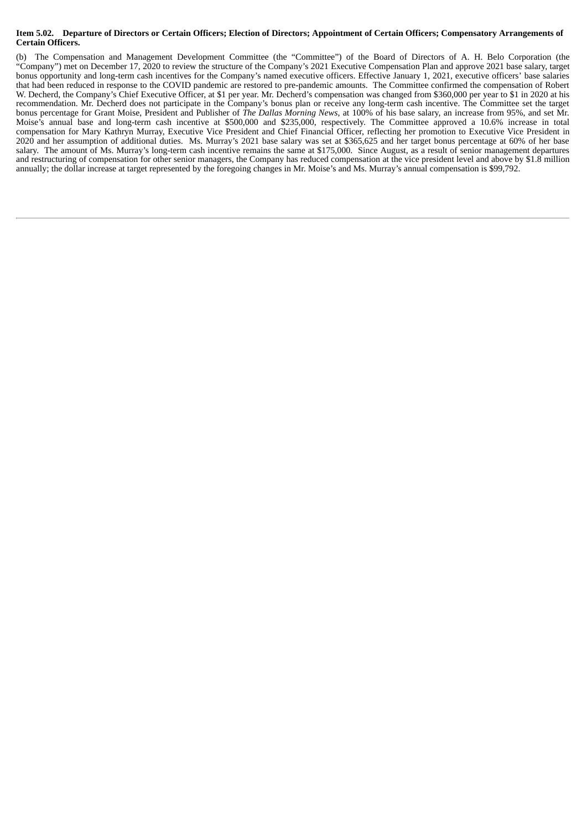#### Item 5.02. Departure of Directors or Certain Officers; Election of Directors; Appointment of Certain Officers; Compensatory Arrangements of **Certain Officers.**

(b) The Compensation and Management Development Committee (the "Committee") of the Board of Directors of A. H. Belo Corporation (the "Company") met on December 17, 2020 to review the structure of the Company's 2021 Executive Compensation Plan and approve 2021 base salary, target bonus opportunity and long-term cash incentives for the Company's named executive officers. Effective January 1, 2021, executive officers' base salaries that had been reduced in response to the COVID pandemic are restored to pre-pandemic amounts. The Committee confirmed the compensation of Robert W. Decherd, the Company's Chief Executive Officer, at \$1 per year. Mr. Decherd's compensation was changed from \$360,000 per year to \$1 in 2020 at his recommendation. Mr. Decherd does not participate in the Company's bonus plan or receive any long-term cash incentive. The Committee set the target bonus percentage for Grant Moise, President and Publisher of *The Dallas Morning News*, at 100% of his base salary, an increase from 95%, and set Mr. Moise's annual base and long-term cash incentive at \$500,000 and \$235,000, respectively. The Committee approved a 10.6% increase in total compensation for Mary Kathryn Murray, Executive Vice President and Chief Financial Officer, reflecting her promotion to Executive Vice President in 2020 and her assumption of additional duties. Ms. Murray's 2021 base salary was set at \$365,625 and her target bonus percentage at 60% of her base salary. The amount of Ms. Murray's long-term cash incentive remains the same at \$175,000. Since August, as a result of senior management departures and restructuring of compensation for other senior managers, the Company has reduced compensation at the vice president level and above by \$1.8 million annually; the dollar increase at target represented by the foregoing changes in Mr. Moise's and Ms. Murray's annual compensation is \$99,792.